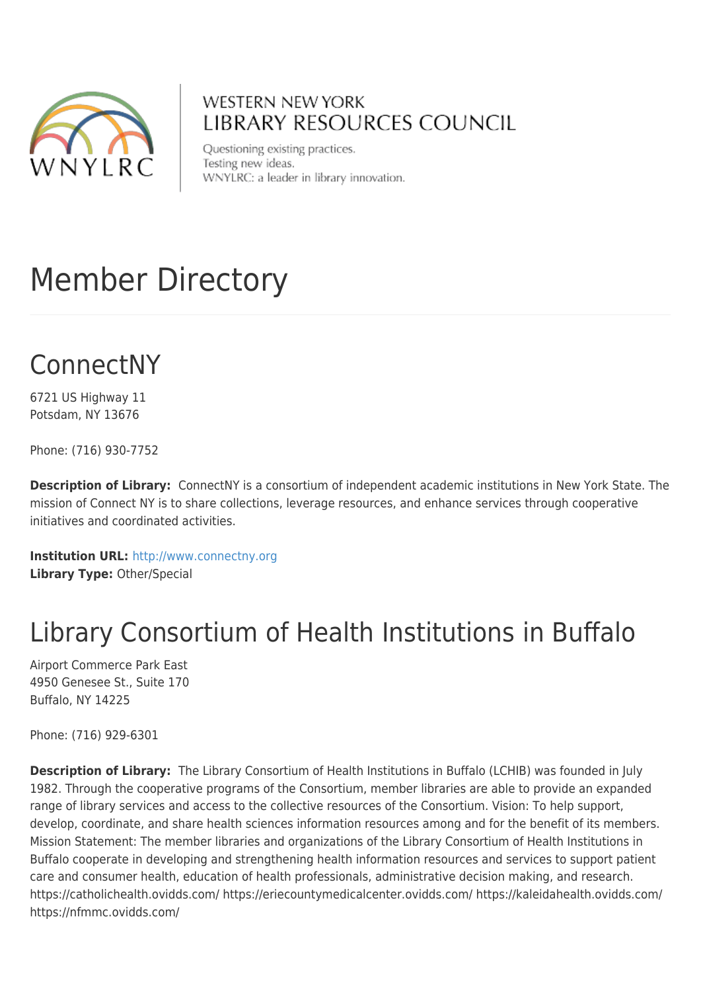

#### **WESTERN NEW YORK LIBRARY RESOURCES COUNCIL**

Questioning existing practices. Testing new ideas. WNYLRC: a leader in library innovation.

# Member Directory

# ConnectNY

6721 US Highway 11 Potsdam, NY 13676

Phone: (716) 930-7752

**Description of Library:** ConnectNY is a consortium of independent academic institutions in New York State. The mission of Connect NY is to share collections, leverage resources, and enhance services through cooperative initiatives and coordinated activities.

**Institution URL:** <http://www.connectny.org> **Library Type:** Other/Special

### Library Consortium of Health Institutions in Buffalo

Airport Commerce Park East 4950 Genesee St., Suite 170 Buffalo, NY 14225

Phone: (716) 929-6301

**Description of Library:** The Library Consortium of Health Institutions in Buffalo (LCHIB) was founded in July 1982. Through the cooperative programs of the Consortium, member libraries are able to provide an expanded range of library services and access to the collective resources of the Consortium. Vision: To help support, develop, coordinate, and share health sciences information resources among and for the benefit of its members. Mission Statement: The member libraries and organizations of the Library Consortium of Health Institutions in Buffalo cooperate in developing and strengthening health information resources and services to support patient care and consumer health, education of health professionals, administrative decision making, and research. https://catholichealth.ovidds.com/ https://eriecountymedicalcenter.ovidds.com/ https://kaleidahealth.ovidds.com/ https://nfmmc.ovidds.com/